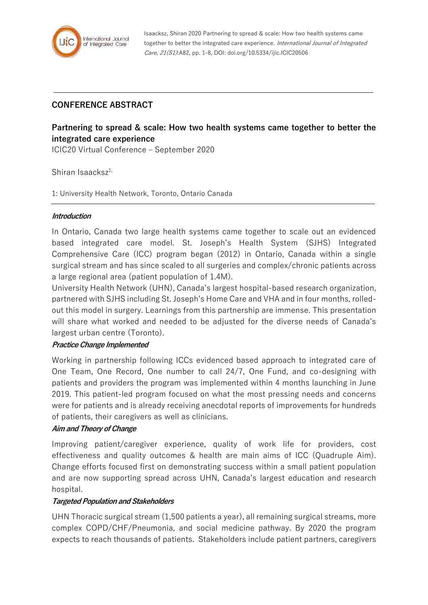

Isaacksz, Shiran 2020 Partnering to spread & scale: How two health systems came together to better the integrated care experience. International Journal of Integrated Care, 21(S1):A82, pp. 1-8, DOI: doi.org/10.5334/ijic.ICIC20506

## **CONFERENCE ABSTRACT**

# **Partnering to spread & scale: How two health systems came together to better the integrated care experience**

ICIC20 Virtual Conference – September 2020

Shiran Isaacks $z^{1}$ ,

1: University Health Network, Toronto, Ontario Canada

#### **Introduction**

In Ontario, Canada two large health systems came together to scale out an evidenced based integrated care model. St. Joseph's Health System (SJHS) Integrated Comprehensive Care (ICC) program began (2012) in Ontario, Canada within a single surgical stream and has since scaled to all surgeries and complex/chronic patients across a large regional area (patient population of 1.4M).

University Health Network (UHN), Canada's largest hospital-based research organization, partnered with SJHS including St. Joseph's Home Care and VHA and in four months, rolledout this model in surgery. Learnings from this partnership are immense. This presentation will share what worked and needed to be adjusted for the diverse needs of Canada's largest urban centre (Toronto).

### **Practice Change Implemented**

Working in partnership following ICCs evidenced based approach to integrated care of One Team, One Record, One number to call 24/7, One Fund, and co-designing with patients and providers the program was implemented within 4 months launching in June 2019. This patient-led program focused on what the most pressing needs and concerns were for patients and is already receiving anecdotal reports of improvements for hundreds of patients, their caregivers as well as clinicians.

### **Aim and Theory of Change**

Improving patient/caregiver experience, quality of work life for providers, cost effectiveness and quality outcomes & health are main aims of ICC (Quadruple Aim). Change efforts focused first on demonstrating success within a small patient population and are now supporting spread across UHN, Canada's largest education and research hospital.

#### **Targeted Population and Stakeholders**

UHN Thoracic surgical stream (1,500 patients a year), all remaining surgical streams, more complex COPD/CHF/Pneumonia, and social medicine pathway. By 2020 the program expects to reach thousands of patients. Stakeholders include patient partners, caregivers